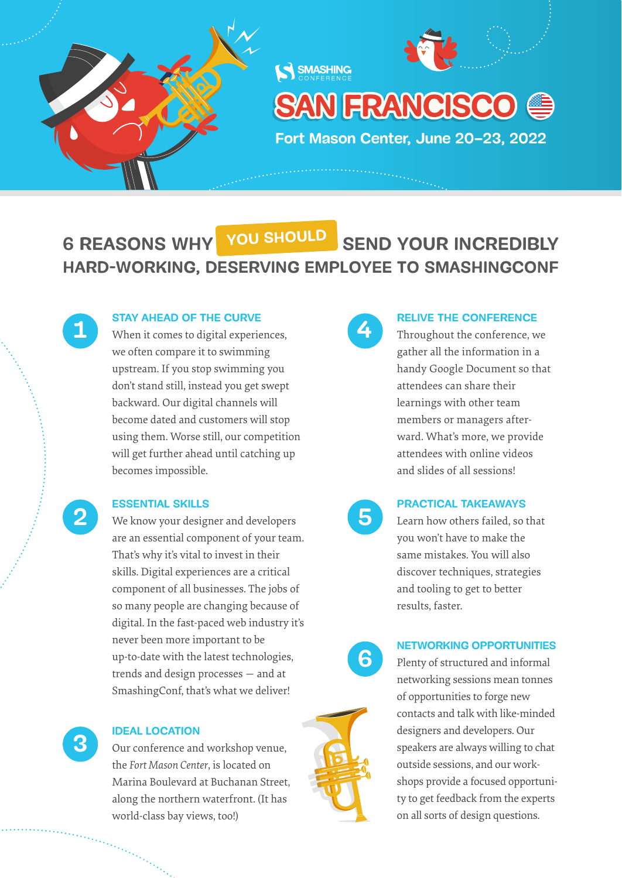



AN FRANCISCO @

**Fort Mason Center, June 20–23, 2022**

**HARD-WORKING, DESERVING EMPLOYEE TO SMASHINGCONF 6 REASONS WHY YOU YOU SHOULD SHOULD SEND YOUR INCREDIBLY**

**SMASHING** 

**2**

**3**

#### **STAY AHEAD OF THE CURVE**

**1 When it comes to digital experiences,** we often compare it to swimming upstream. If you stop swimming you don't stand still, instead you get swept backward. Our digital channels will become dated and customers will stop using them. Worse still, our competition will get further ahead until catching up becomes impossible.

#### **ESSENTIAL SKILLS**

We know your designer and developers are an essential component of your team. That's why it's vital to invest in their skills. Digital experiences are a critical component of all businesses. The jobs of so many people are changing because of digital. In the fast-paced web industry it's never been more important to be up-to-date with the latest technologies, trends and design processes — and at SmashingConf, that's what we deliver!

#### **IDEAL LOCATION**

Our conference and workshop venue, the *Fort Mason Center*, is located on Marina Boulevard at Buchanan Street, along the northern waterfront. (It has world-class bay views, too!)



#### **RELIVE THE CONFERENCE**

Throughout the conference, we gather all the information in a handy Google Document so that attendees can share their learnings with other team members or managers afterward. What's more, we provide attendees with online videos and slides of all sessions!

### **5**

**6**

#### **PRACTICAL TAKEAWAYS**

Learn how others failed, so that you won't have to make the same mistakes. You will also discover techniques, strategies and tooling to get to better results, faster.

#### **NETWORKING OPPORTUNITIES**

Plenty of structured and informal networking sessions mean tonnes of opportunities to forge new contacts and talk with like-minded designers and developers. Our speakers are always willing to chat outside sessions, and our workshops provide a focused opportunity to get feedback from the experts on all sorts of design questions.